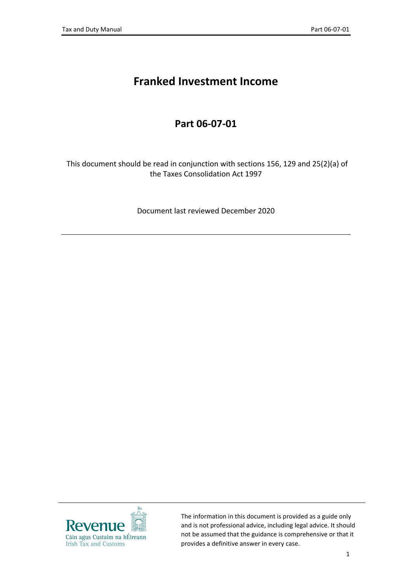# **Franked Investment Income**

### **Part 06-07-01**

This document should be read in conjunction with sections 156, 129 and 25(2)(a) of the Taxes Consolidation Act 1997

Document last reviewed December 2020



The information in this document is provided as a guide only and is not professional advice, including legal advice. It should not be assumed that the guidance is comprehensive or that it provides a definitive answer in every case.